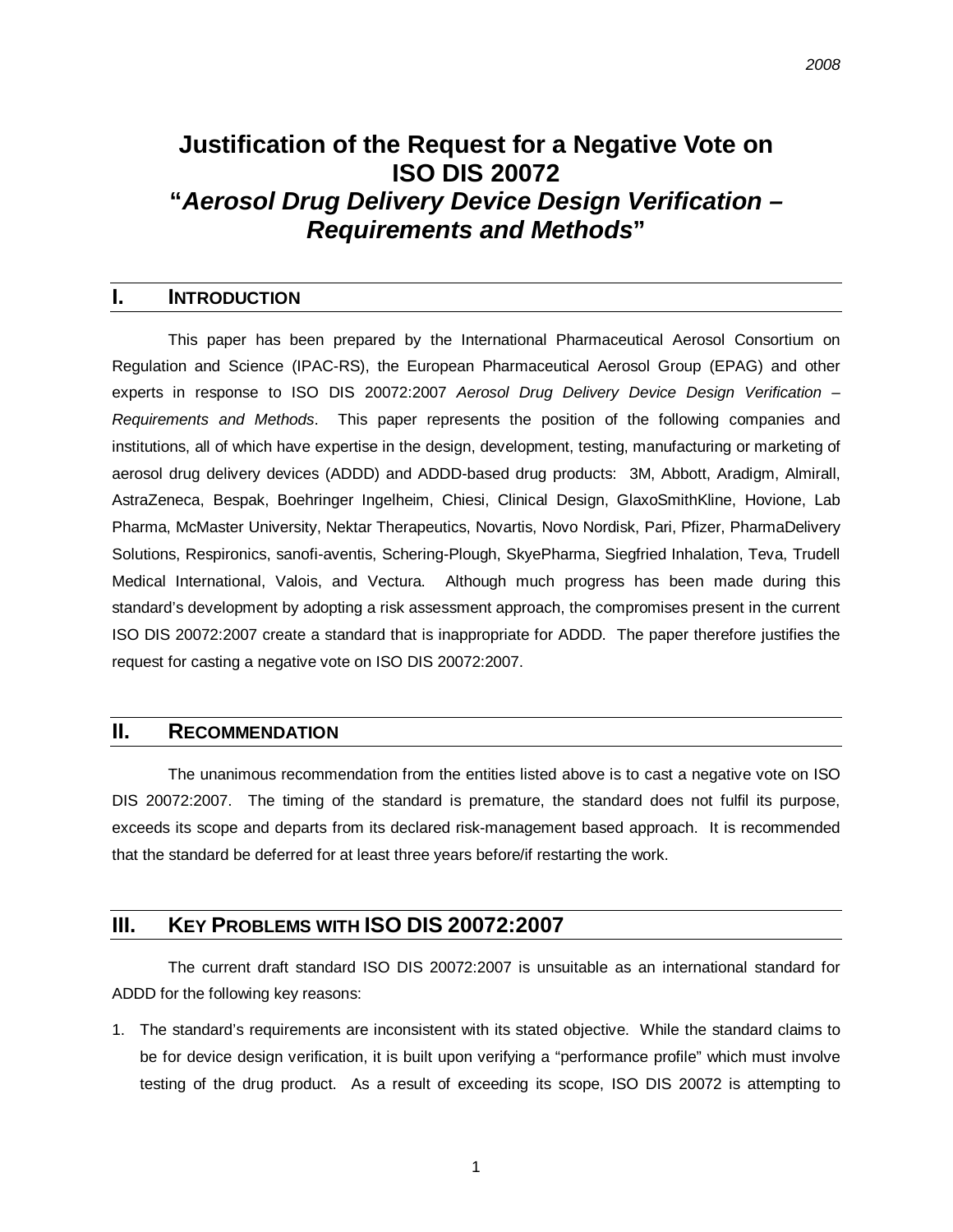# **Justification of the Request for a Negative Vote on ISO DIS 20072 "***Aerosol Drug Delivery Device Design Verification – Requirements and Methods***"**

#### **I. INTRODUCTION**

This paper has been prepared by the International Pharmaceutical Aerosol Consortium on Regulation and Science (IPAC-RS), the European Pharmaceutical Aerosol Group (EPAG) and other experts in response to ISO DIS 20072:2007 *Aerosol Drug Delivery Device Design Verification – Requirements and Methods*. This paper represents the position of the following companies and institutions, all of which have expertise in the design, development, testing, manufacturing or marketing of aerosol drug delivery devices (ADDD) and ADDD-based drug products: 3M, Abbott, Aradigm, Almirall, AstraZeneca, Bespak, Boehringer Ingelheim, Chiesi, Clinical Design, GlaxoSmithKline, Hovione, Lab Pharma, McMaster University, Nektar Therapeutics, Novartis, Novo Nordisk, Pari, Pfizer, PharmaDelivery Solutions, Respironics, sanofi-aventis, Schering-Plough, SkyePharma, Siegfried Inhalation, Teva, Trudell Medical International, Valois, and Vectura. Although much progress has been made during this standard's development by adopting a risk assessment approach, the compromises present in the current ISO DIS 20072:2007 create a standard that is inappropriate for ADDD. The paper therefore justifies the request for casting a negative vote on ISO DIS 20072:2007.

#### **II. RECOMMENDATION**

The unanimous recommendation from the entities listed above is to cast a negative vote on ISO DIS 20072:2007. The timing of the standard is premature, the standard does not fulfil its purpose, exceeds its scope and departs from its declared risk-management based approach. It is recommended that the standard be deferred for at least three years before/if restarting the work.

### **III. KEY PROBLEMS WITH ISO DIS 20072:2007**

The current draft standard ISO DIS 20072:2007 is unsuitable as an international standard for ADDD for the following key reasons:

1. The standard's requirements are inconsistent with its stated objective. While the standard claims to be for device design verification, it is built upon verifying a "performance profile" which must involve testing of the drug product. As a result of exceeding its scope, ISO DIS 20072 is attempting to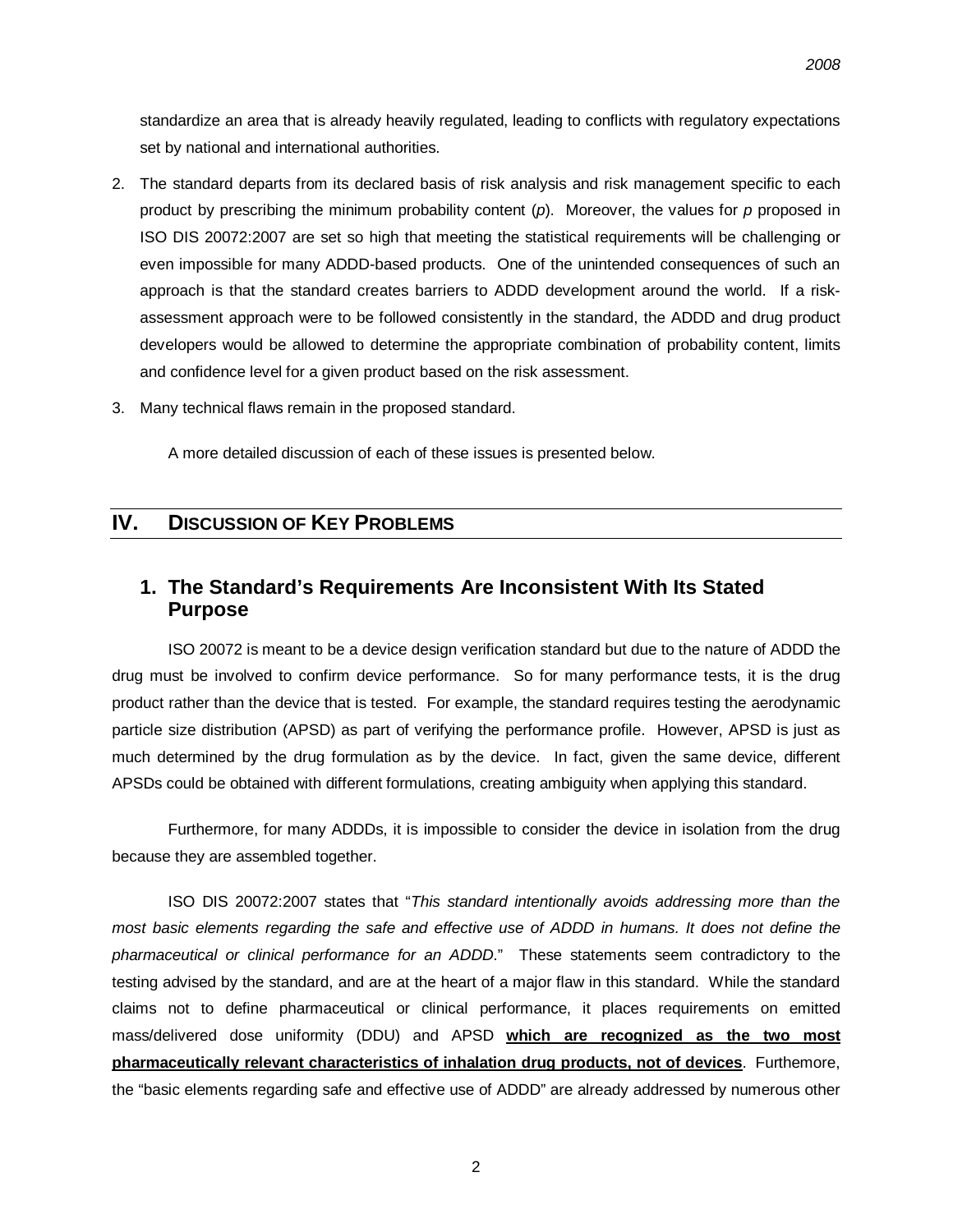standardize an area that is already heavily regulated, leading to conflicts with regulatory expectations set by national and international authorities.

- 2. The standard departs from its declared basis of risk analysis and risk management specific to each product by prescribing the minimum probability content (*p*). Moreover, the values for *p* proposed in ISO DIS 20072:2007 are set so high that meeting the statistical requirements will be challenging or even impossible for many ADDD-based products. One of the unintended consequences of such an approach is that the standard creates barriers to ADDD development around the world. If a riskassessment approach were to be followed consistently in the standard, the ADDD and drug product developers would be allowed to determine the appropriate combination of probability content, limits and confidence level for a given product based on the risk assessment.
- 3. Many technical flaws remain in the proposed standard.

A more detailed discussion of each of these issues is presented below.

### **IV. DISCUSSION OF KEY PROBLEMS**

### **1. The Standard's Requirements Are Inconsistent With Its Stated Purpose**

ISO 20072 is meant to be a device design verification standard but due to the nature of ADDD the drug must be involved to confirm device performance. So for many performance tests, it is the drug product rather than the device that is tested. For example, the standard requires testing the aerodynamic particle size distribution (APSD) as part of verifying the performance profile. However, APSD is just as much determined by the drug formulation as by the device. In fact, given the same device, different APSDs could be obtained with different formulations, creating ambiguity when applying this standard.

Furthermore, for many ADDDs, it is impossible to consider the device in isolation from the drug because they are assembled together.

ISO DIS 20072:2007 states that "*This standard intentionally avoids addressing more than the*  most basic elements regarding the safe and effective use of ADDD in humans. It does not define the *pharmaceutical or clinical performance for an ADDD*." These statements seem contradictory to the testing advised by the standard, and are at the heart of a major flaw in this standard. While the standard claims not to define pharmaceutical or clinical performance, it places requirements on emitted mass/delivered dose uniformity (DDU) and APSD **which are recognized as the two most pharmaceutically relevant characteristics of inhalation drug products, not of devices**. Furthemore, the "basic elements regarding safe and effective use of ADDD" are already addressed by numerous other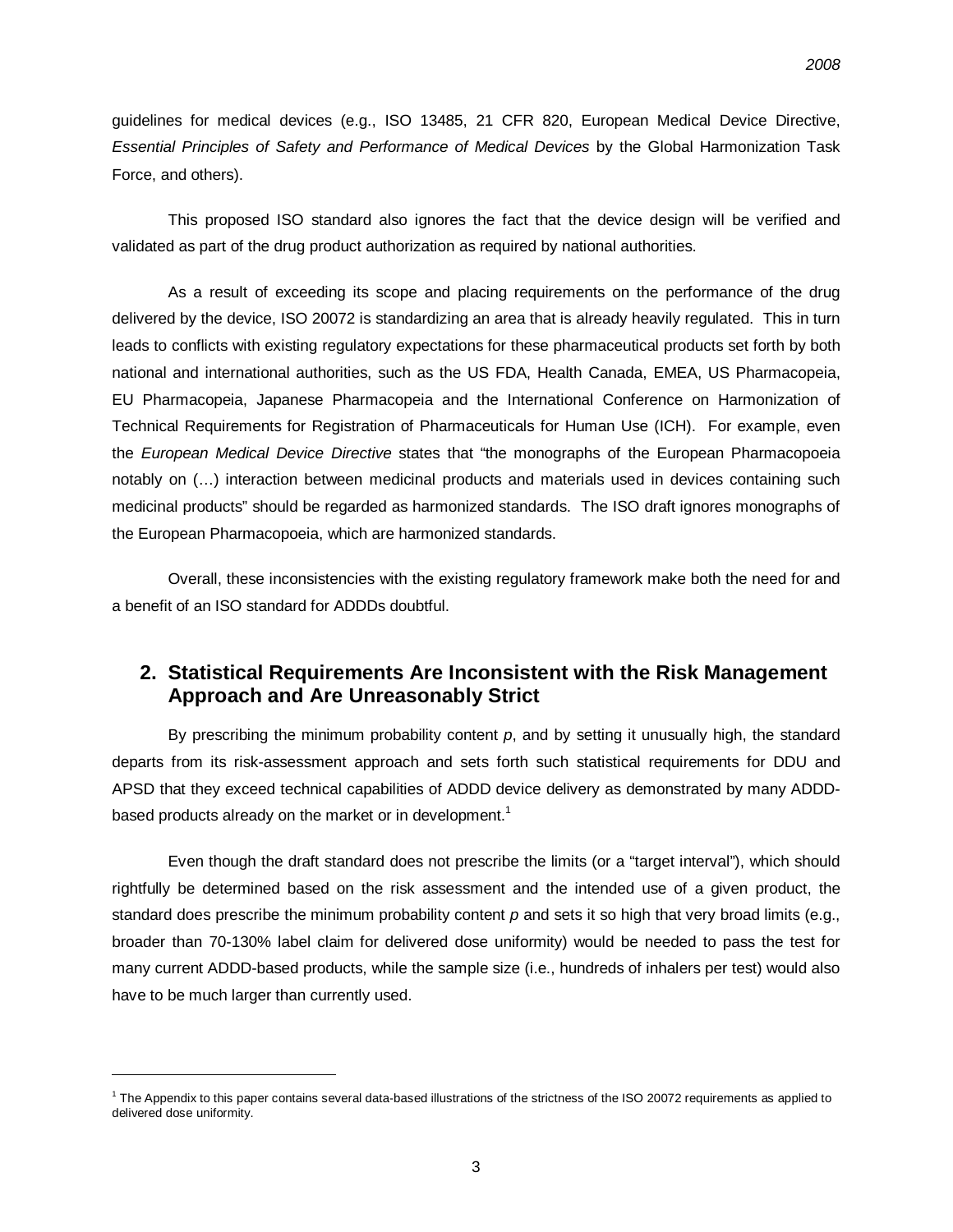guidelines for medical devices (e.g., ISO 13485, 21 CFR 820, European Medical Device Directive, *Essential Principles of Safety and Performance of Medical Devices* by the Global Harmonization Task Force, and others).

This proposed ISO standard also ignores the fact that the device design will be verified and validated as part of the drug product authorization as required by national authorities.

As a result of exceeding its scope and placing requirements on the performance of the drug delivered by the device, ISO 20072 is standardizing an area that is already heavily regulated. This in turn leads to conflicts with existing regulatory expectations for these pharmaceutical products set forth by both national and international authorities, such as the US FDA, Health Canada, EMEA, US Pharmacopeia, EU Pharmacopeia, Japanese Pharmacopeia and the International Conference on Harmonization of Technical Requirements for Registration of Pharmaceuticals for Human Use (ICH). For example, even the *European Medical Device Directive* states that "the monographs of the European Pharmacopoeia notably on (…) interaction between medicinal products and materials used in devices containing such medicinal products" should be regarded as harmonized standards. The ISO draft ignores monographs of the European Pharmacopoeia, which are harmonized standards.

Overall, these inconsistencies with the existing regulatory framework make both the need for and a benefit of an ISO standard for ADDDs doubtful.

### **2. Statistical Requirements Are Inconsistent with the Risk Management Approach and Are Unreasonably Strict**

By prescribing the minimum probability content *p*, and by setting it unusually high, the standard departs from its risk-assessment approach and sets forth such statistical requirements for DDU and APSD that they exceed technical capabilities of ADDD device delivery as demonstrated by many ADDDbased products already on the market or in development.<sup>1</sup>

Even though the draft standard does not prescribe the limits (or a "target interval"), which should rightfully be determined based on the risk assessment and the intended use of a given product, the standard does prescribe the minimum probability content *p* and sets it so high that very broad limits (e.g., broader than 70-130% label claim for delivered dose uniformity) would be needed to pass the test for many current ADDD-based products, while the sample size (i.e., hundreds of inhalers per test) would also have to be much larger than currently used.

1

 $1$  The Appendix to this paper contains several data-based illustrations of the strictness of the ISO 20072 requirements as applied to delivered dose uniformity.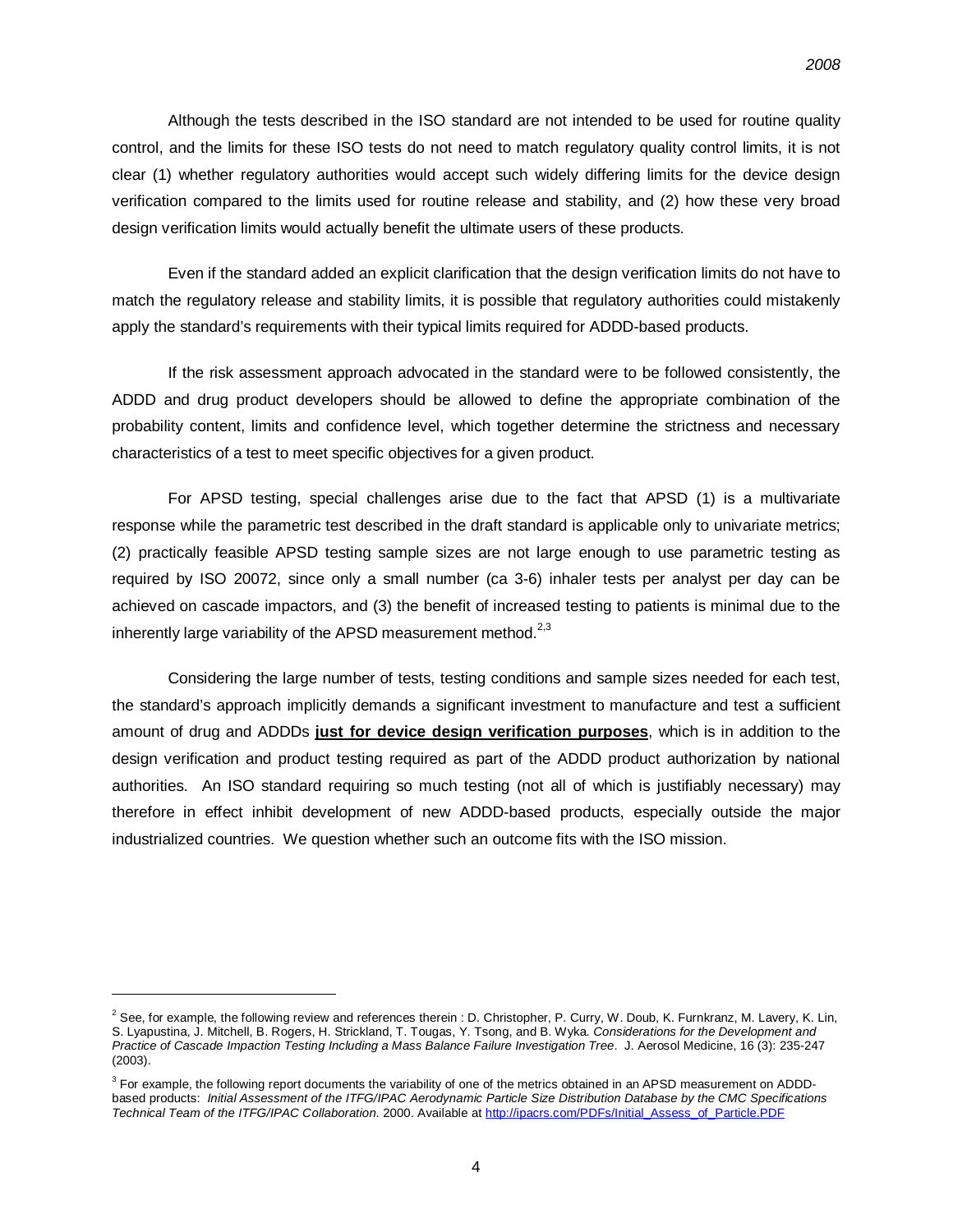Although the tests described in the ISO standard are not intended to be used for routine quality control, and the limits for these ISO tests do not need to match regulatory quality control limits, it is not clear (1) whether regulatory authorities would accept such widely differing limits for the device design verification compared to the limits used for routine release and stability, and (2) how these very broad design verification limits would actually benefit the ultimate users of these products.

Even if the standard added an explicit clarification that the design verification limits do not have to match the regulatory release and stability limits, it is possible that regulatory authorities could mistakenly apply the standard's requirements with their typical limits required for ADDD-based products.

If the risk assessment approach advocated in the standard were to be followed consistently, the ADDD and drug product developers should be allowed to define the appropriate combination of the probability content, limits and confidence level, which together determine the strictness and necessary characteristics of a test to meet specific objectives for a given product.

For APSD testing, special challenges arise due to the fact that APSD (1) is a multivariate response while the parametric test described in the draft standard is applicable only to univariate metrics; (2) practically feasible APSD testing sample sizes are not large enough to use parametric testing as required by ISO 20072, since only a small number (ca 3-6) inhaler tests per analyst per day can be achieved on cascade impactors, and (3) the benefit of increased testing to patients is minimal due to the inherently large variability of the APSD measurement method. $2.3$ 

Considering the large number of tests, testing conditions and sample sizes needed for each test, the standard's approach implicitly demands a significant investment to manufacture and test a sufficient amount of drug and ADDDs **just for device design verification purposes**, which is in addition to the design verification and product testing required as part of the ADDD product authorization by national authorities. An ISO standard requiring so much testing (not all of which is justifiably necessary) may therefore in effect inhibit development of new ADDD-based products, especially outside the major industrialized countries. We question whether such an outcome fits with the ISO mission.

l

 $^2$  See, for example, the following review and references therein : D. Christopher, P. Curry, W. Doub, K. Furnkranz, M. Lavery, K. Lin, S. Lyapustina, J. Mitchell, B. Rogers, H. Strickland, T. Tougas, Y. Tsong, and B. Wyka. *Considerations for the Development and Practice of Cascade Impaction Testing Including a Mass Balance Failure Investigation Tree*. J. Aerosol Medicine, 16 (3): 235-247 (2003).

<sup>&</sup>lt;sup>3</sup> For example, the following report documents the variability of one of the metrics obtained in an APSD measurement on ADDDbased products: *Initial Assessment of the ITFG/IPAC Aerodynamic Particle Size Distribution Database by the CMC Specifications Technical Team of the ITFG/IPAC Collaboration*. 2000. Available at [http://ipacrs.com/PDFs/Initial\\_Assess\\_of\\_Particle.PDF](http://ipacrs.com/PDFs/Initial_Assess_of_Particle.PDF)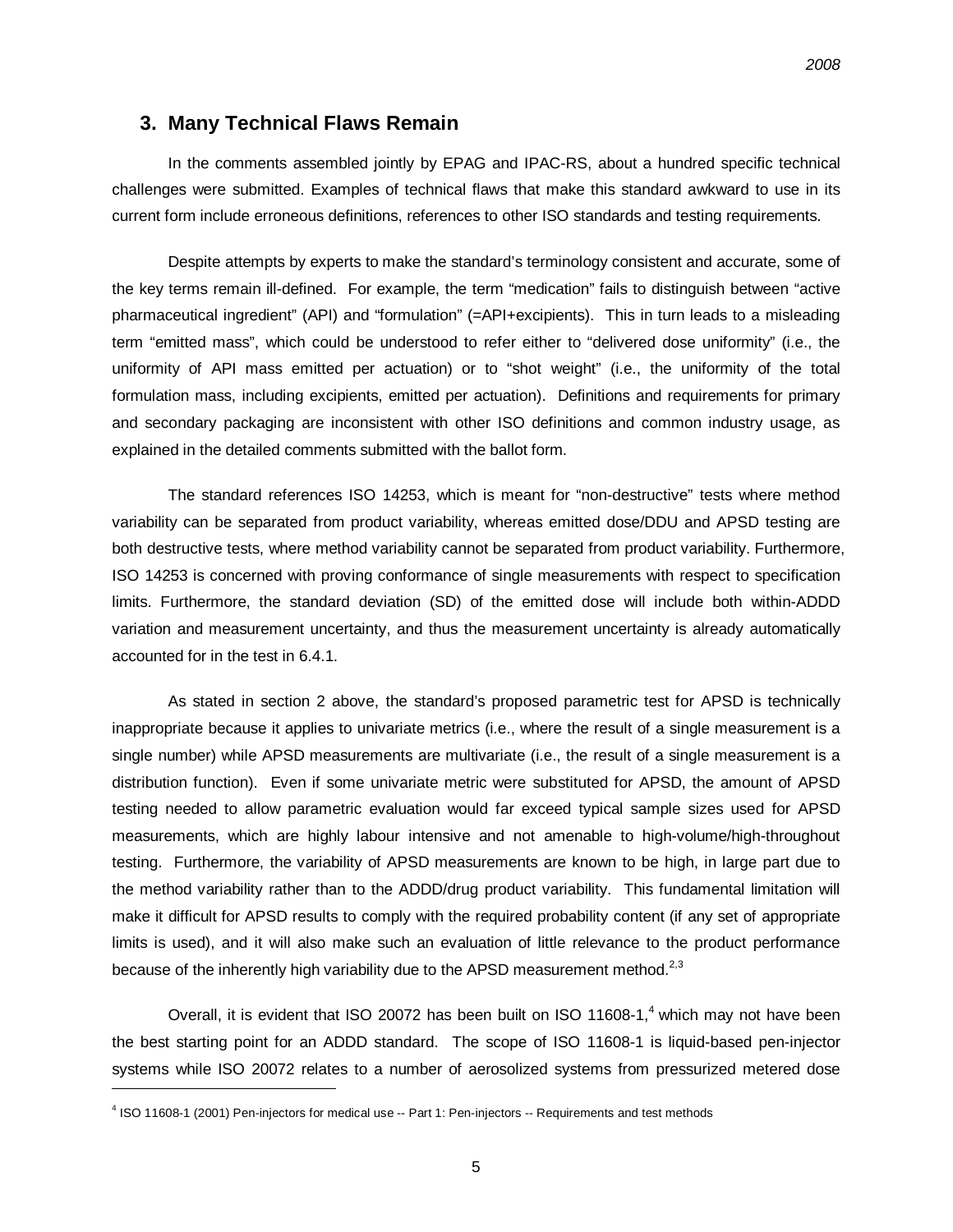#### **3. Many Technical Flaws Remain**

In the comments assembled jointly by EPAG and IPAC-RS, about a hundred specific technical challenges were submitted. Examples of technical flaws that make this standard awkward to use in its current form include erroneous definitions, references to other ISO standards and testing requirements.

Despite attempts by experts to make the standard's terminology consistent and accurate, some of the key terms remain ill-defined. For example, the term "medication" fails to distinguish between "active pharmaceutical ingredient" (API) and "formulation" (=API+excipients). This in turn leads to a misleading term "emitted mass", which could be understood to refer either to "delivered dose uniformity" (i.e., the uniformity of API mass emitted per actuation) or to "shot weight" (i.e., the uniformity of the total formulation mass, including excipients, emitted per actuation). Definitions and requirements for primary and secondary packaging are inconsistent with other ISO definitions and common industry usage, as explained in the detailed comments submitted with the ballot form.

The standard references ISO 14253, which is meant for "non-destructive" tests where method variability can be separated from product variability, whereas emitted dose/DDU and APSD testing are both destructive tests, where method variability cannot be separated from product variability. Furthermore, ISO 14253 is concerned with proving conformance of single measurements with respect to specification limits. Furthermore, the standard deviation (SD) of the emitted dose will include both within-ADDD variation and measurement uncertainty, and thus the measurement uncertainty is already automatically accounted for in the test in 6.4.1.

As stated in section 2 above, the standard's proposed parametric test for APSD is technically inappropriate because it applies to univariate metrics (i.e., where the result of a single measurement is a single number) while APSD measurements are multivariate (i.e., the result of a single measurement is a distribution function). Even if some univariate metric were substituted for APSD, the amount of APSD testing needed to allow parametric evaluation would far exceed typical sample sizes used for APSD measurements, which are highly labour intensive and not amenable to high-volume/high-throughout testing. Furthermore, the variability of APSD measurements are known to be high, in large part due to the method variability rather than to the ADDD/drug product variability. This fundamental limitation will make it difficult for APSD results to comply with the required probability content (if any set of appropriate limits is used), and it will also make such an evaluation of little relevance to the product performance because of the inherently high variability due to the APSD measurement method.<sup>2,3</sup>

Overall, it is evident that ISO 20072 has been built on ISO 11608-1,<sup>4</sup> which may not have been the best starting point for an ADDD standard. The scope of ISO 11608-1 is liquid-based pen-injector systems while ISO 20072 relates to a number of aerosolized systems from pressurized metered dose

1

<sup>&</sup>lt;sup>4</sup> ISO 11608-1 (2001) Pen-injectors for medical use -- Part 1: Pen-injectors -- Requirements and test methods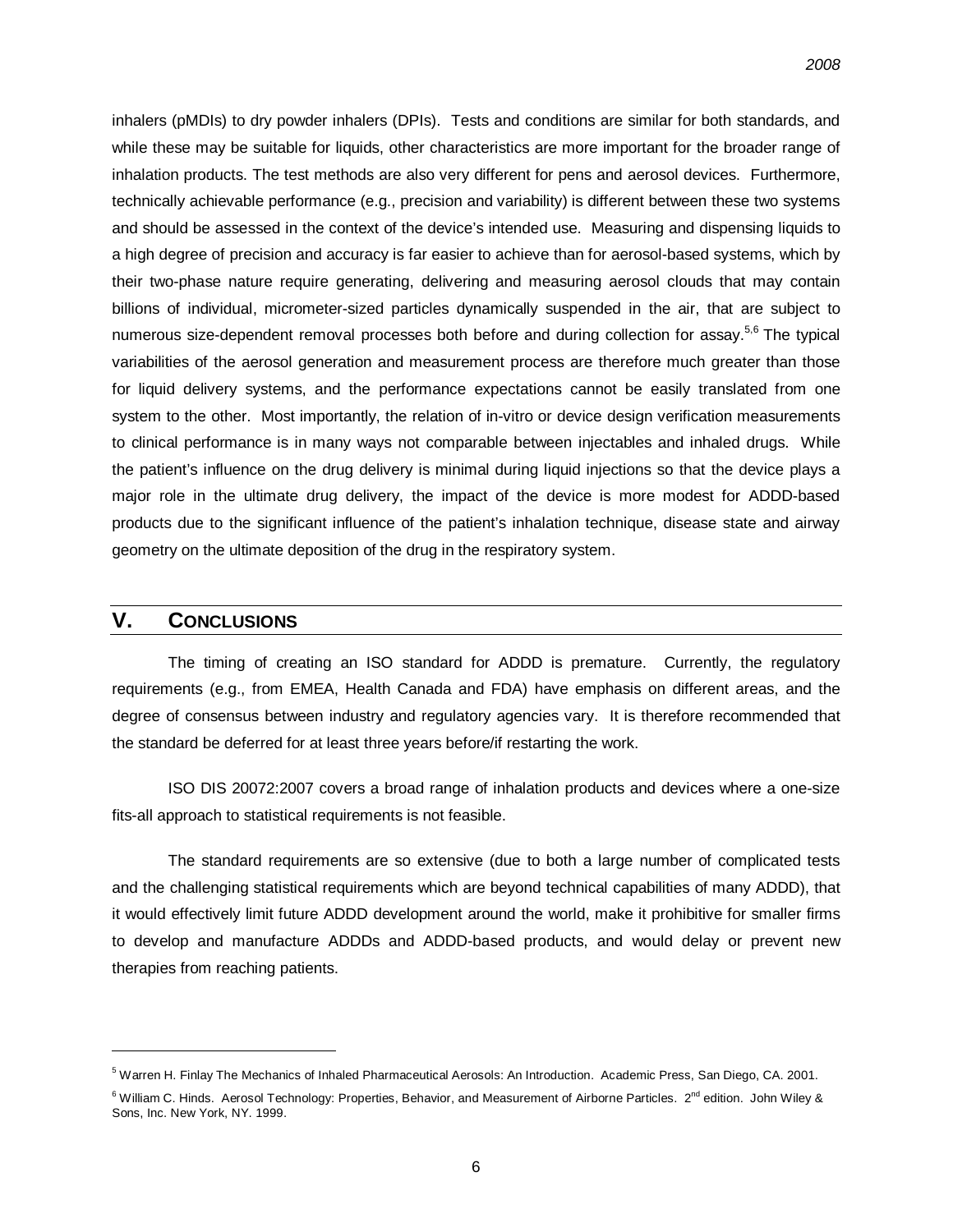inhalers (pMDIs) to dry powder inhalers (DPIs). Tests and conditions are similar for both standards, and while these may be suitable for liquids, other characteristics are more important for the broader range of inhalation products. The test methods are also very different for pens and aerosol devices. Furthermore, technically achievable performance (e.g., precision and variability) is different between these two systems and should be assessed in the context of the device's intended use. Measuring and dispensing liquids to a high degree of precision and accuracy is far easier to achieve than for aerosol-based systems, which by their two-phase nature require generating, delivering and measuring aerosol clouds that may contain billions of individual, micrometer-sized particles dynamically suspended in the air, that are subject to numerous size-dependent removal processes both before and during collection for assay.<sup>5,6</sup> The typical variabilities of the aerosol generation and measurement process are therefore much greater than those for liquid delivery systems, and the performance expectations cannot be easily translated from one system to the other. Most importantly, the relation of in-vitro or device design verification measurements to clinical performance is in many ways not comparable between injectables and inhaled drugs. While the patient's influence on the drug delivery is minimal during liquid injections so that the device plays a major role in the ultimate drug delivery, the impact of the device is more modest for ADDD-based products due to the significant influence of the patient's inhalation technique, disease state and airway geometry on the ultimate deposition of the drug in the respiratory system.

#### **V. CONCLUSIONS**

l

The timing of creating an ISO standard for ADDD is premature. Currently, the regulatory requirements (e.g., from EMEA, Health Canada and FDA) have emphasis on different areas, and the degree of consensus between industry and regulatory agencies vary. It is therefore recommended that the standard be deferred for at least three years before/if restarting the work.

ISO DIS 20072:2007 covers a broad range of inhalation products and devices where a one-size fits-all approach to statistical requirements is not feasible.

The standard requirements are so extensive (due to both a large number of complicated tests and the challenging statistical requirements which are beyond technical capabilities of many ADDD), that it would effectively limit future ADDD development around the world, make it prohibitive for smaller firms to develop and manufacture ADDDs and ADDD-based products, and would delay or prevent new therapies from reaching patients.

<sup>5</sup> Warren H. Finlay The Mechanics of Inhaled Pharmaceutical Aerosols: An Introduction. Academic Press, San Diego, CA. 2001.

 $6$  William C. Hinds. Aerosol Technology: Properties, Behavior, and Measurement of Airborne Particles.  $2^{nd}$  edition. John Wiley & Sons, Inc. New York, NY. 1999.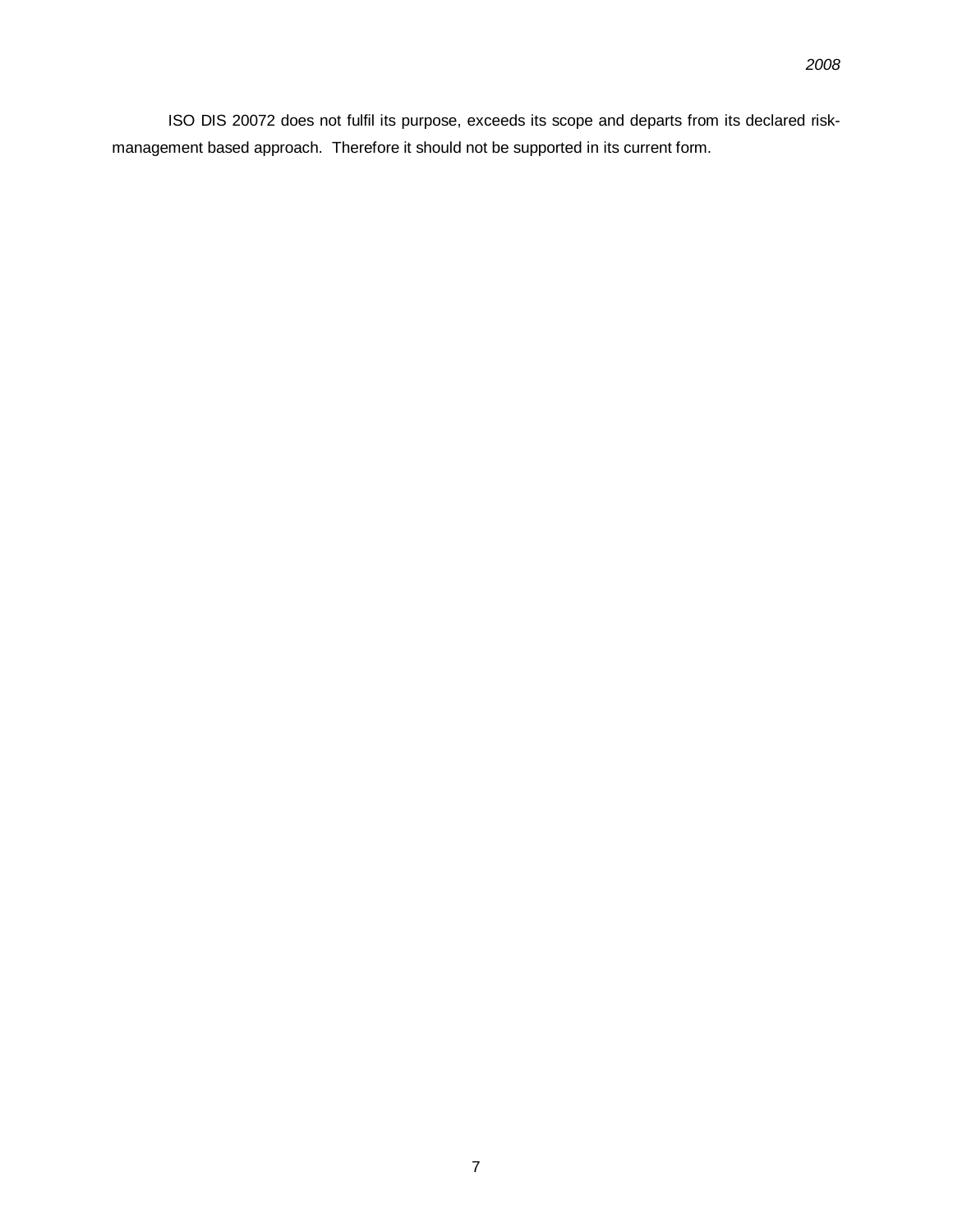ISO DIS 20072 does not fulfil its purpose, exceeds its scope and departs from its declared riskmanagement based approach. Therefore it should not be supported in its current form.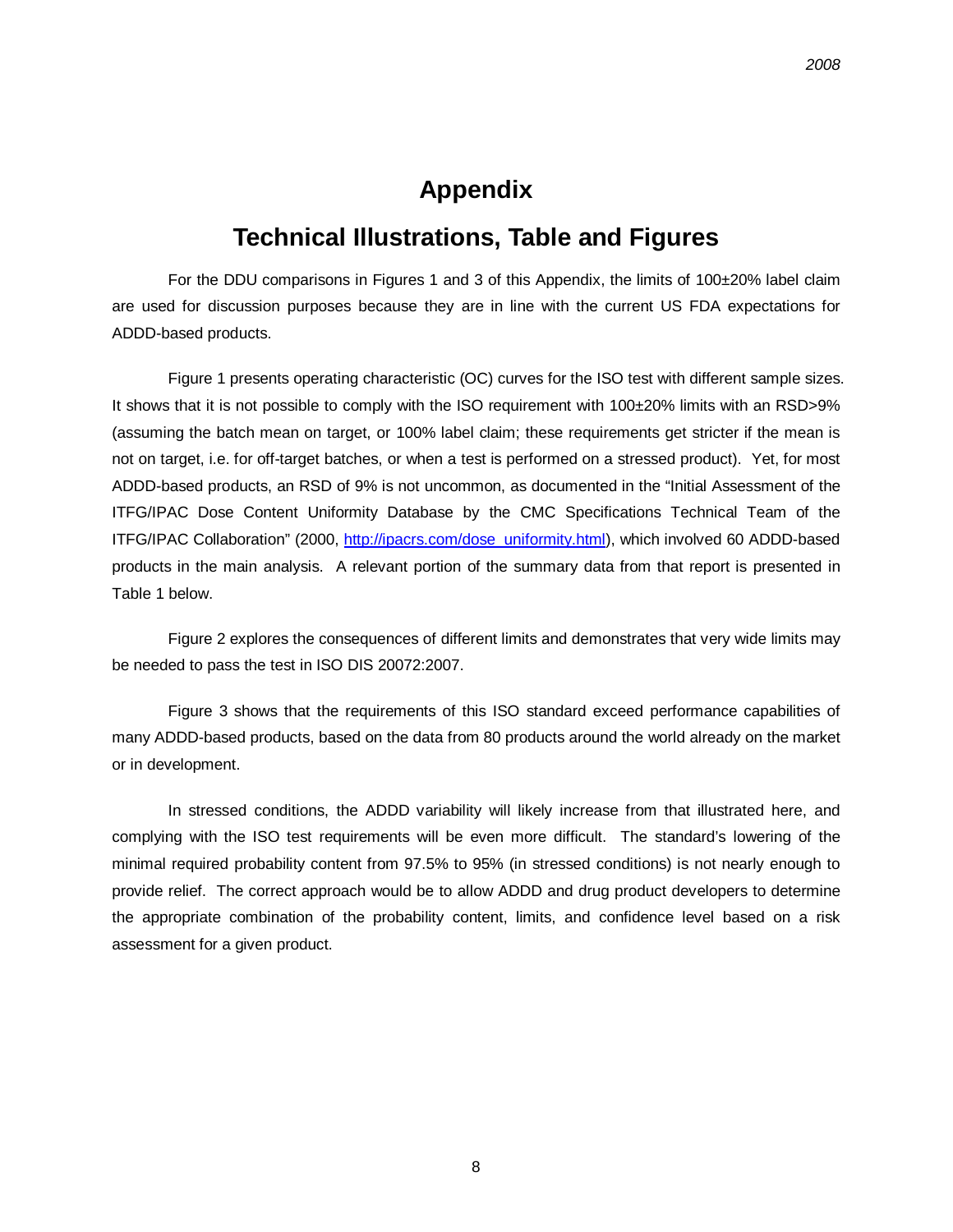## **Appendix**

# **Technical Illustrations, Table and Figures**

For the DDU comparisons in Figures 1 and 3 of this Appendix, the limits of 100±20% label claim are used for discussion purposes because they are in line with the current US FDA expectations for ADDD-based products.

Figure 1 presents operating characteristic (OC) curves for the ISO test with different sample sizes. It shows that it is not possible to comply with the ISO requirement with 100±20% limits with an RSD>9% (assuming the batch mean on target, or 100% label claim; these requirements get stricter if the mean is not on target, i.e. for off-target batches, or when a test is performed on a stressed product). Yet, for most ADDD-based products, an RSD of 9% is not uncommon, as documented in the "Initial Assessment of the ITFG/IPAC Dose Content Uniformity Database by the CMC Specifications Technical Team of the ITFG/IPAC Collaboration" (2000, [http://ipacrs.com/dose\\_uniformity.html](http://ipacrs.com/dose_uniformity.html)), which involved 60 ADDD-based products in the main analysis. A relevant portion of the summary data from that report is presented in Table 1 below.

Figure 2 explores the consequences of different limits and demonstrates that very wide limits may be needed to pass the test in ISO DIS 20072:2007.

Figure 3 shows that the requirements of this ISO standard exceed performance capabilities of many ADDD-based products, based on the data from 80 products around the world already on the market or in development.

In stressed conditions, the ADDD variability will likely increase from that illustrated here, and complying with the ISO test requirements will be even more difficult. The standard's lowering of the minimal required probability content from 97.5% to 95% (in stressed conditions) is not nearly enough to provide relief. The correct approach would be to allow ADDD and drug product developers to determine the appropriate combination of the probability content, limits, and confidence level based on a risk assessment for a given product.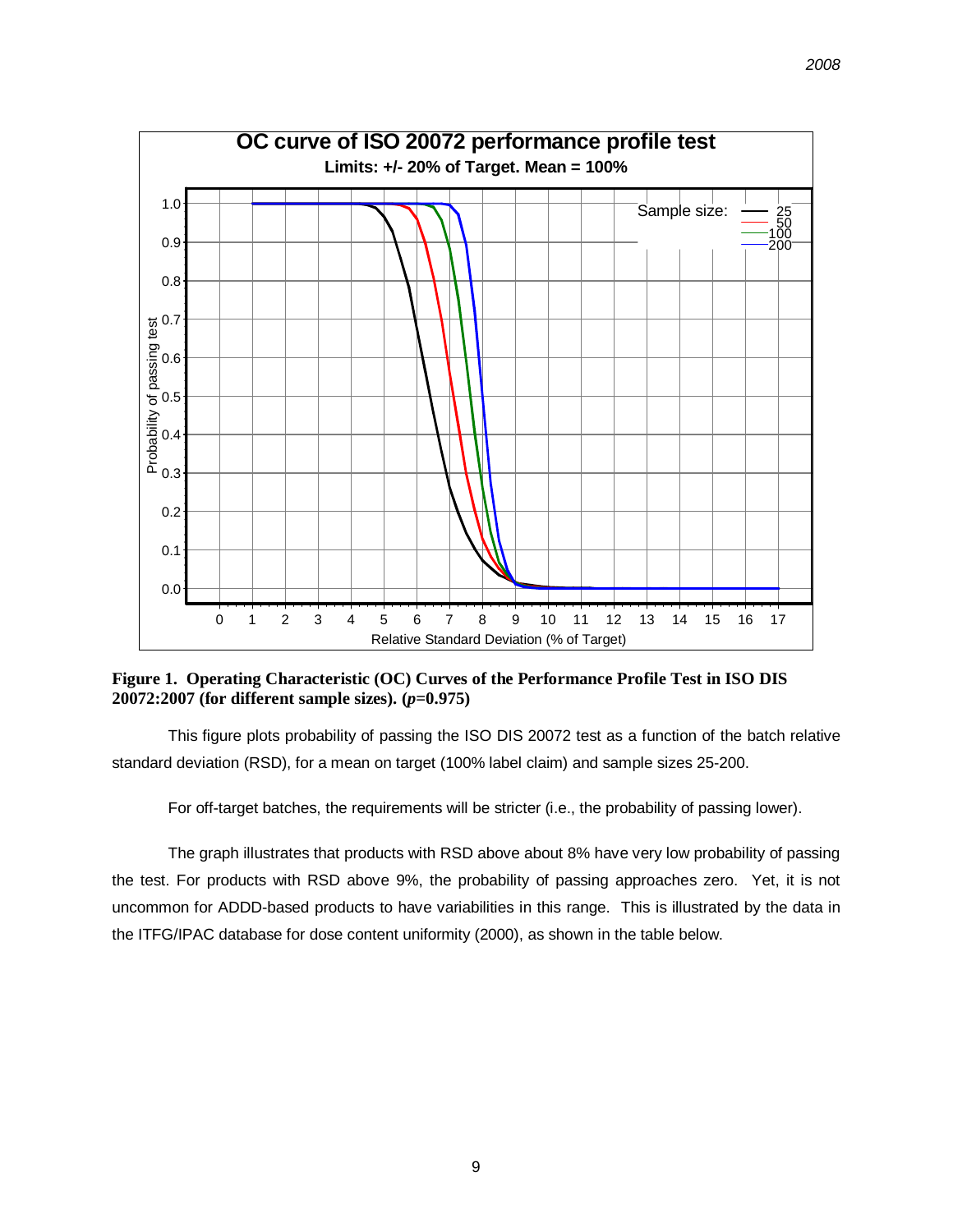

**Figure 1. Operating Characteristic (OC) Curves of the Performance Profile Test in ISO DIS 20072:2007 (for different sample sizes). (***p***=0.975)** 

This figure plots probability of passing the ISO DIS 20072 test as a function of the batch relative standard deviation (RSD), for a mean on target (100% label claim) and sample sizes 25-200.

For off-target batches, the requirements will be stricter (i.e., the probability of passing lower).

The graph illustrates that products with RSD above about 8% have very low probability of passing the test. For products with RSD above 9%, the probability of passing approaches zero. Yet, it is not uncommon for ADDD-based products to have variabilities in this range. This is illustrated by the data in the ITFG/IPAC database for dose content uniformity (2000), as shown in the table below.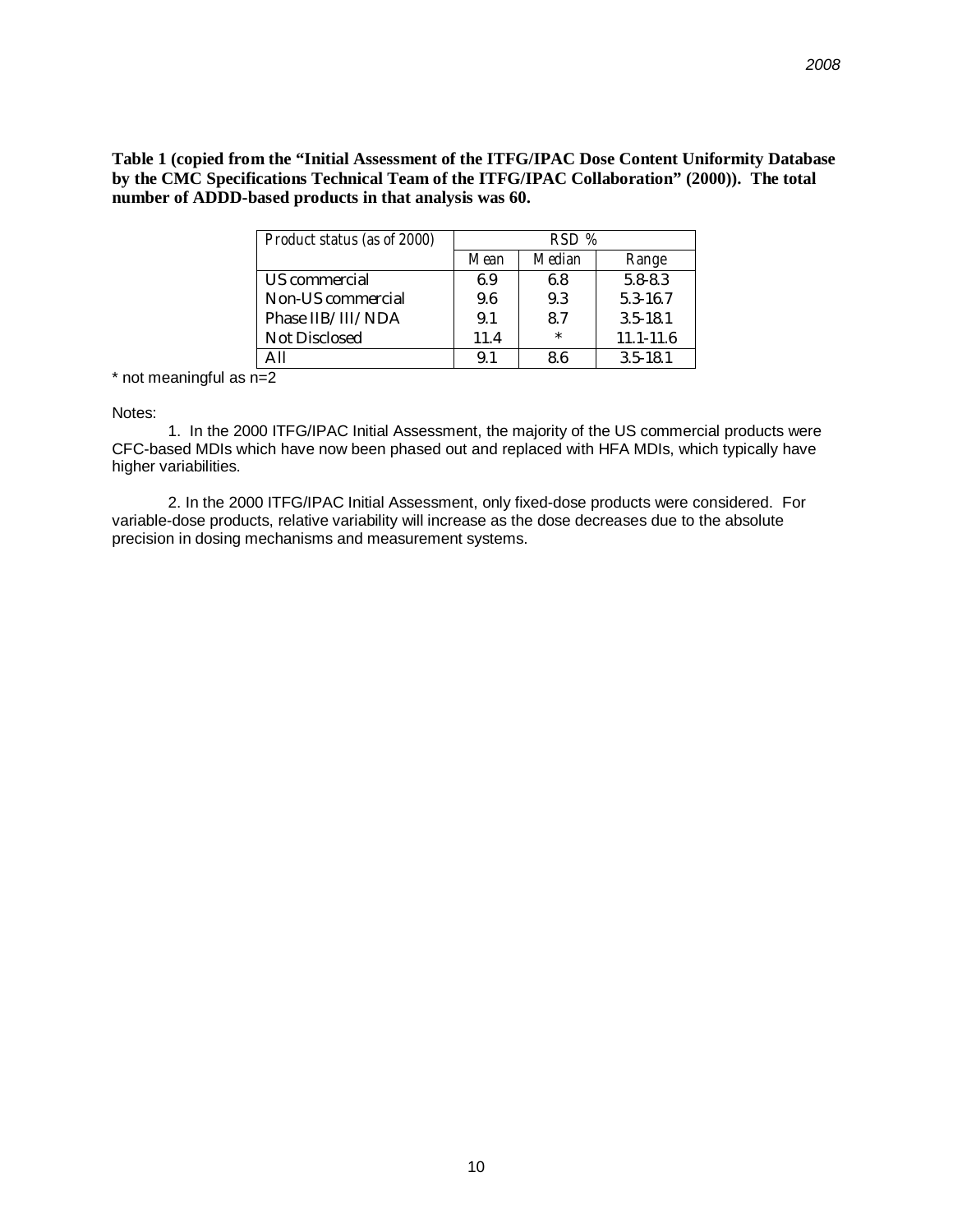**Table 1 (copied from the "Initial Assessment of the ITFG/IPAC Dose Content Uniformity Database by the CMC Specifications Technical Team of the ITFG/IPAC Collaboration" (2000)). The total number of ADDD-based products in that analysis was 60.** 

| <b>Product status (as of 2000)</b> | $RSD\%$ |               |               |
|------------------------------------|---------|---------------|---------------|
|                                    | Mean    | <b>Median</b> | Range         |
| US commercial                      | 6.9     | 6.8           | $5.8 - 8.3$   |
| <b>Non-US</b> commercial           | 9.6     | 9.3           | 5.3-16.7      |
| Phase IIB/III/NDA                  | 9.1     | 8.7           | $3.5 - 18.1$  |
| <b>Not Disclosed</b>               | 11.4    | $\ast$        | $11.1 - 11.6$ |
|                                    | 9.1     | 8.6           | $3.5 - 18.1$  |

 $*$  not meaningful as  $n=2$ 

Notes:

1. In the 2000 ITFG/IPAC Initial Assessment, the majority of the US commercial products were CFC-based MDIs which have now been phased out and replaced with HFA MDIs, which typically have higher variabilities.

2. In the 2000 ITFG/IPAC Initial Assessment, only fixed-dose products were considered. For variable-dose products, relative variability will increase as the dose decreases due to the absolute precision in dosing mechanisms and measurement systems.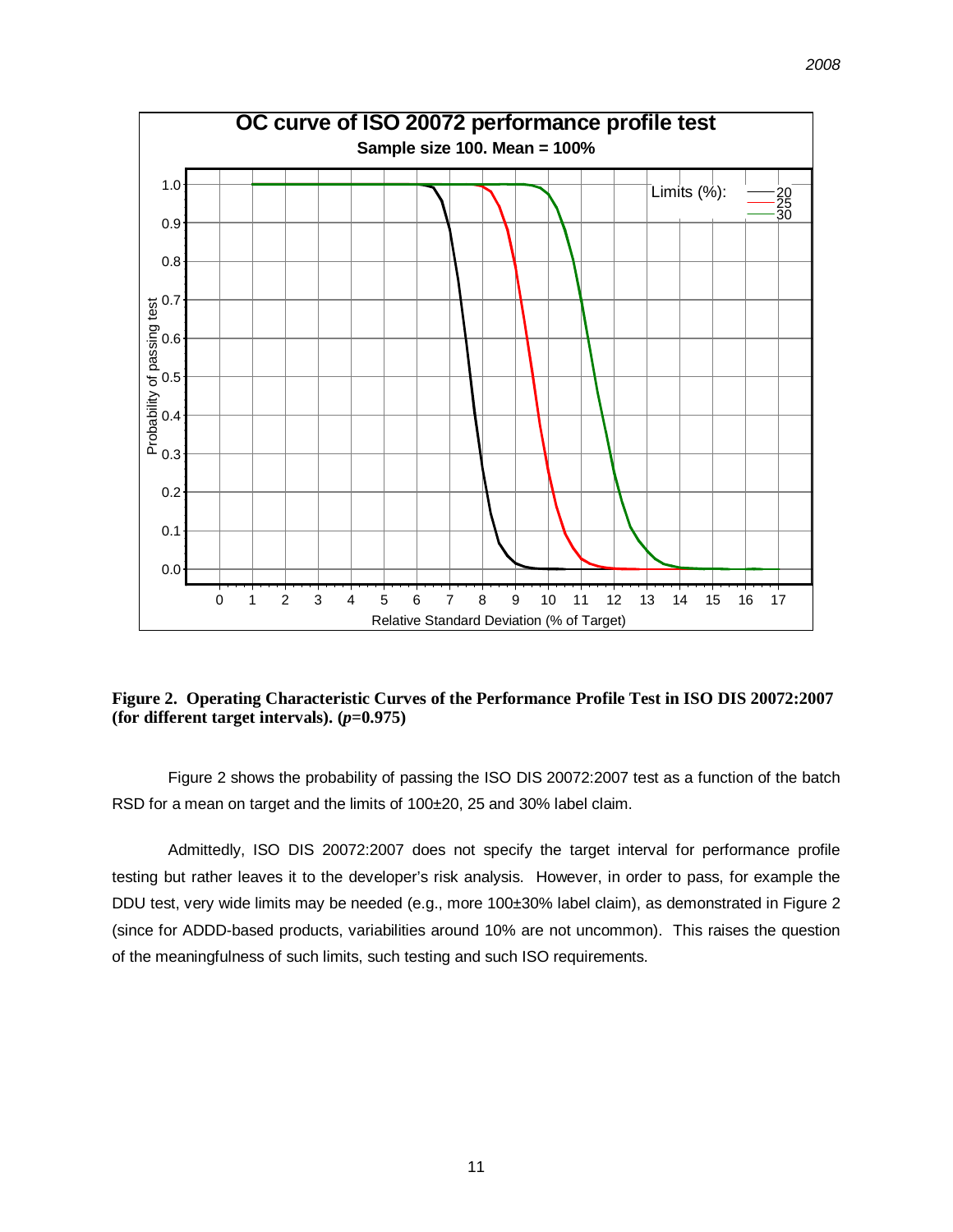

**Figure 2. Operating Characteristic Curves of the Performance Profile Test in ISO DIS 20072:2007 (for different target intervals). (***p***=0.975)** 

Figure 2 shows the probability of passing the ISO DIS 20072:2007 test as a function of the batch RSD for a mean on target and the limits of 100±20, 25 and 30% label claim.

Admittedly, ISO DIS 20072:2007 does not specify the target interval for performance profile testing but rather leaves it to the developer's risk analysis. However, in order to pass, for example the DDU test, very wide limits may be needed (e.g., more 100±30% label claim), as demonstrated in Figure 2 (since for ADDD-based products, variabilities around 10% are not uncommon). This raises the question of the meaningfulness of such limits, such testing and such ISO requirements.